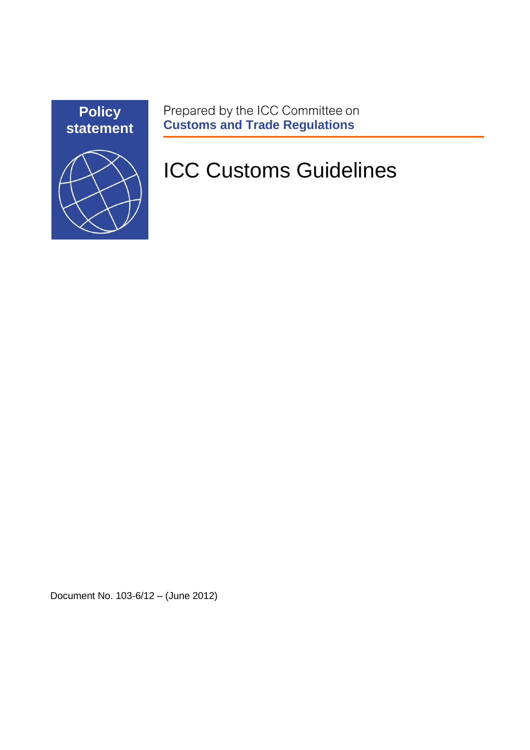

Prepared by the ICC Committee on<br> **Customs and Trade Regulations** 

# ICC Customs Guidelines

Document No. 103-6/12 – (June 2012)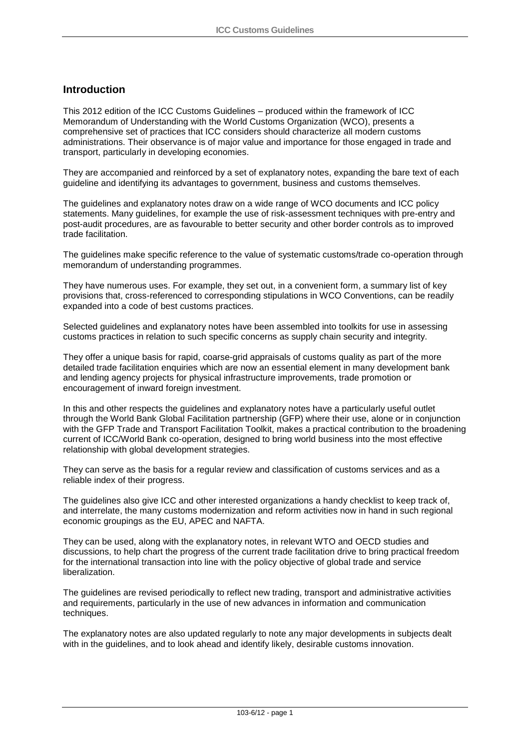#### **Introduction**

This 2012 edition of the ICC Customs Guidelines – produced within the framework of ICC Memorandum of Understanding with the World Customs Organization (WCO), presents a comprehensive set of practices that ICC considers should characterize all modern customs administrations. Their observance is of major value and importance for those engaged in trade and transport, particularly in developing economies.

They are accompanied and reinforced by a set of explanatory notes, expanding the bare text of each guideline and identifying its advantages to government, business and customs themselves.

The guidelines and explanatory notes draw on a wide range of WCO documents and ICC policy statements. Many guidelines, for example the use of risk-assessment techniques with pre-entry and post-audit procedures, are as favourable to better security and other border controls as to improved trade facilitation.

The guidelines make specific reference to the value of systematic customs/trade co-operation through memorandum of understanding programmes.

They have numerous uses. For example, they set out, in a convenient form, a summary list of key provisions that, cross-referenced to corresponding stipulations in WCO Conventions, can be readily expanded into a code of best customs practices.

Selected guidelines and explanatory notes have been assembled into toolkits for use in assessing customs practices in relation to such specific concerns as supply chain security and integrity.

They offer a unique basis for rapid, coarse-grid appraisals of customs quality as part of the more detailed trade facilitation enquiries which are now an essential element in many development bank and lending agency projects for physical infrastructure improvements, trade promotion or encouragement of inward foreign investment.

In this and other respects the guidelines and explanatory notes have a particularly useful outlet through the World Bank Global Facilitation partnership (GFP) where their use, alone or in conjunction with the GFP Trade and Transport Facilitation Toolkit, makes a practical contribution to the broadening current of ICC/World Bank co-operation, designed to bring world business into the most effective relationship with global development strategies.

They can serve as the basis for a regular review and classification of customs services and as a reliable index of their progress.

The guidelines also give ICC and other interested organizations a handy checklist to keep track of, and interrelate, the many customs modernization and reform activities now in hand in such regional economic groupings as the EU, APEC and NAFTA.

They can be used, along with the explanatory notes, in relevant WTO and OECD studies and discussions, to help chart the progress of the current trade facilitation drive to bring practical freedom for the international transaction into line with the policy objective of global trade and service liberalization.

The guidelines are revised periodically to reflect new trading, transport and administrative activities and requirements, particularly in the use of new advances in information and communication techniques.

The explanatory notes are also updated regularly to note any major developments in subjects dealt with in the guidelines, and to look ahead and identify likely, desirable customs innovation.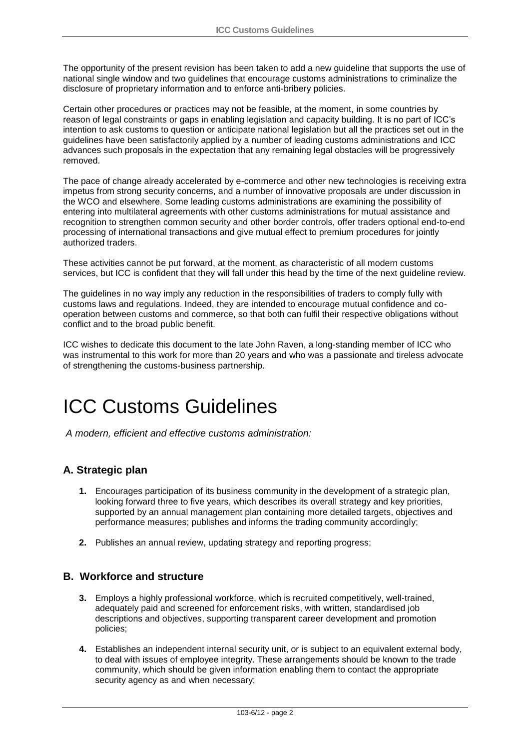The opportunity of the present revision has been taken to add a new guideline that supports the use of national single window and two guidelines that encourage customs administrations to criminalize the disclosure of proprietary information and to enforce anti-bribery policies.

Certain other procedures or practices may not be feasible, at the moment, in some countries by reason of legal constraints or gaps in enabling legislation and capacity building. It is no part of ICC's intention to ask customs to question or anticipate national legislation but all the practices set out in the guidelines have been satisfactorily applied by a number of leading customs administrations and ICC advances such proposals in the expectation that any remaining legal obstacles will be progressively removed.

The pace of change already accelerated by e-commerce and other new technologies is receiving extra impetus from strong security concerns, and a number of innovative proposals are under discussion in the WCO and elsewhere. Some leading customs administrations are examining the possibility of entering into multilateral agreements with other customs administrations for mutual assistance and recognition to strengthen common security and other border controls, offer traders optional end-to-end processing of international transactions and give mutual effect to premium procedures for jointly authorized traders.

These activities cannot be put forward, at the moment, as characteristic of all modern customs services, but ICC is confident that they will fall under this head by the time of the next guideline review.

The guidelines in no way imply any reduction in the responsibilities of traders to comply fully with customs laws and regulations. Indeed, they are intended to encourage mutual confidence and cooperation between customs and commerce, so that both can fulfil their respective obligations without conflict and to the broad public benefit.

ICC wishes to dedicate this document to the late John Raven, a long-standing member of ICC who was instrumental to this work for more than 20 years and who was a passionate and tireless advocate of strengthening the customs-business partnership.

## ICC Customs Guidelines

*A modern, efficient and effective customs administration:* 

#### **A. Strategic plan**

- **1.** Encourages participation of its business community in the development of a strategic plan, looking forward three to five years, which describes its overall strategy and key priorities, supported by an annual management plan containing more detailed targets, objectives and performance measures; publishes and informs the trading community accordingly;
- **2.** Publishes an annual review, updating strategy and reporting progress;

#### **B. Workforce and structure**

- **3.** Employs a highly professional workforce, which is recruited competitively, well-trained, adequately paid and screened for enforcement risks, with written, standardised job descriptions and objectives, supporting transparent career development and promotion policies;
- **4.** Establishes an independent internal security unit, or is subject to an equivalent external body, to deal with issues of employee integrity. These arrangements should be known to the trade community, which should be given information enabling them to contact the appropriate security agency as and when necessary;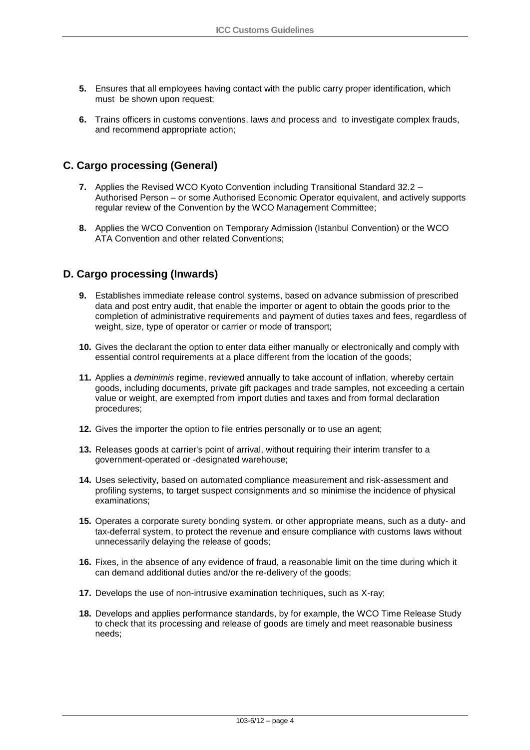- **5.** Ensures that all employees having contact with the public carry proper identification, which must be shown upon request;
- **6.** Trains officers in customs conventions, laws and process and to investigate complex frauds, and recommend appropriate action;

#### **C. Cargo processing (General)**

- **7.** Applies the Revised WCO Kyoto Convention including Transitional Standard 32.2 Authorised Person – or some Authorised Economic Operator equivalent, and actively supports regular review of the Convention by the WCO Management Committee;
- **8.** Applies the WCO Convention on Temporary Admission (Istanbul Convention) or the WCO ATA Convention and other related Conventions;

#### **D. Cargo processing (Inwards)**

- **9.** Establishes immediate release control systems, based on advance submission of prescribed data and post entry audit, that enable the importer or agent to obtain the goods prior to the completion of administrative requirements and payment of duties taxes and fees, regardless of weight, size, type of operator or carrier or mode of transport;
- **10.** Gives the declarant the option to enter data either manually or electronically and comply with essential control requirements at a place different from the location of the goods;
- **11.** Applies a *deminimis* regime, reviewed annually to take account of inflation, whereby certain goods, including documents, private gift packages and trade samples, not exceeding a certain value or weight, are exempted from import duties and taxes and from formal declaration procedures;
- **12.** Gives the importer the option to file entries personally or to use an agent;
- **13.** Releases goods at carrier's point of arrival, without requiring their interim transfer to a government-operated or -designated warehouse;
- **14.** Uses selectivity, based on automated compliance measurement and risk-assessment and profiling systems, to target suspect consignments and so minimise the incidence of physical examinations;
- **15.** Operates a corporate surety bonding system, or other appropriate means, such as a duty- and tax-deferral system, to protect the revenue and ensure compliance with customs laws without unnecessarily delaying the release of goods;
- **16.** Fixes, in the absence of any evidence of fraud, a reasonable limit on the time during which it can demand additional duties and/or the re-delivery of the goods;
- **17.** Develops the use of non-intrusive examination techniques, such as X-ray;
- **18.** Develops and applies performance standards, by for example, the WCO Time Release Study to check that its processing and release of goods are timely and meet reasonable business needs;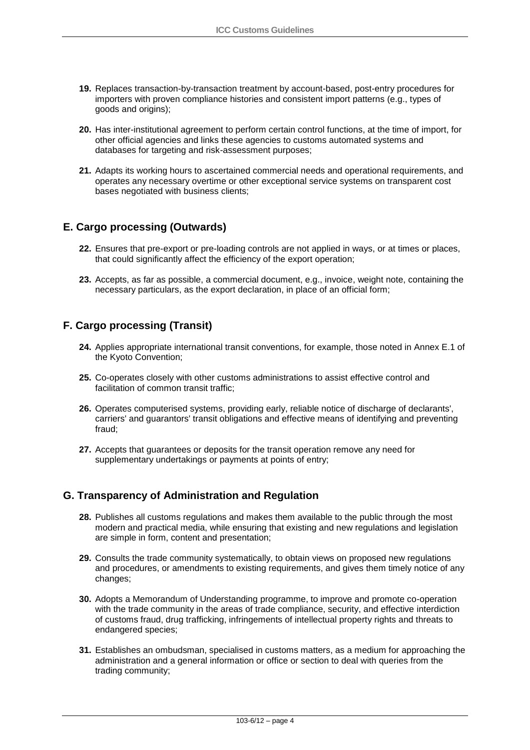- **19.** Replaces transaction-by-transaction treatment by account-based, post-entry procedures for importers with proven compliance histories and consistent import patterns (e.g., types of goods and origins);
- **20.** Has inter-institutional agreement to perform certain control functions, at the time of import, for other official agencies and links these agencies to customs automated systems and databases for targeting and risk-assessment purposes;
- **21.** Adapts its working hours to ascertained commercial needs and operational requirements, and operates any necessary overtime or other exceptional service systems on transparent cost bases negotiated with business clients;

#### **E. Cargo processing (Outwards)**

- **22.** Ensures that pre-export or pre-loading controls are not applied in ways, or at times or places, that could significantly affect the efficiency of the export operation;
- **23.** Accepts, as far as possible, a commercial document, e.g., invoice, weight note, containing the necessary particulars, as the export declaration, in place of an official form;

#### **F. Cargo processing (Transit)**

- **24.** Applies appropriate international transit conventions, for example, those noted in Annex E.1 of the Kyoto Convention;
- **25.** Co-operates closely with other customs administrations to assist effective control and facilitation of common transit traffic;
- **26.** Operates computerised systems, providing early, reliable notice of discharge of declarants', carriers' and guarantors' transit obligations and effective means of identifying and preventing fraud;
- **27.** Accepts that guarantees or deposits for the transit operation remove any need for supplementary undertakings or payments at points of entry;

#### **G. Transparency of Administration and Regulation**

- **28.** Publishes all customs regulations and makes them available to the public through the most modern and practical media, while ensuring that existing and new regulations and legislation are simple in form, content and presentation;
- **29.** Consults the trade community systematically, to obtain views on proposed new regulations and procedures, or amendments to existing requirements, and gives them timely notice of any changes;
- **30.** Adopts a Memorandum of Understanding programme, to improve and promote co-operation with the trade community in the areas of trade compliance, security, and effective interdiction of customs fraud, drug trafficking, infringements of intellectual property rights and threats to endangered species;
- **31.** Establishes an ombudsman, specialised in customs matters, as a medium for approaching the administration and a general information or office or section to deal with queries from the trading community;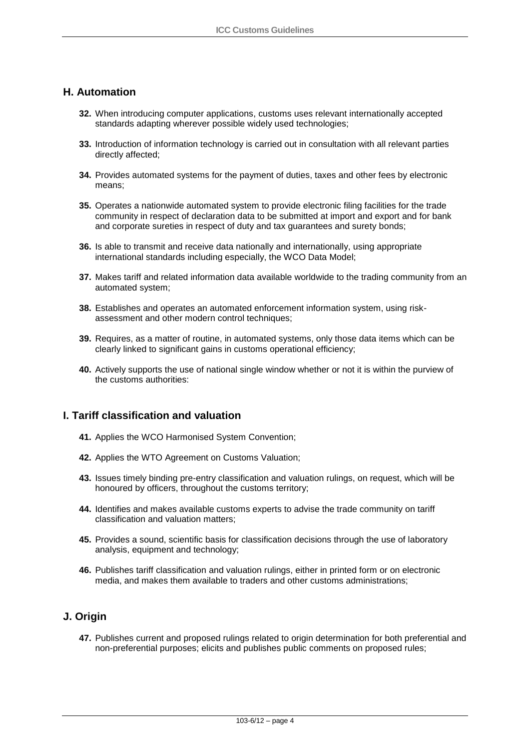#### **H. Automation**

- **32.** When introducing computer applications, customs uses relevant internationally accepted standards adapting wherever possible widely used technologies;
- **33.** Introduction of information technology is carried out in consultation with all relevant parties directly affected;
- **34.** Provides automated systems for the payment of duties, taxes and other fees by electronic means;
- **35.** Operates a nationwide automated system to provide electronic filing facilities for the trade community in respect of declaration data to be submitted at import and export and for bank and corporate sureties in respect of duty and tax guarantees and surety bonds;
- **36.** Is able to transmit and receive data nationally and internationally, using appropriate international standards including especially, the WCO Data Model;
- **37.** Makes tariff and related information data available worldwide to the trading community from an automated system;
- **38.** Establishes and operates an automated enforcement information system, using riskassessment and other modern control techniques;
- **39.** Requires, as a matter of routine, in automated systems, only those data items which can be clearly linked to significant gains in customs operational efficiency;
- **40.** Actively supports the use of national single window whether or not it is within the purview of the customs authorities:

#### **I. Tariff classification and valuation**

- **41.** Applies the WCO Harmonised System Convention;
- **42.** Applies the WTO Agreement on Customs Valuation;
- **43.** Issues timely binding pre-entry classification and valuation rulings, on request, which will be honoured by officers, throughout the customs territory;
- **44.** Identifies and makes available customs experts to advise the trade community on tariff classification and valuation matters;
- **45.** Provides a sound, scientific basis for classification decisions through the use of laboratory analysis, equipment and technology;
- **46.** Publishes tariff classification and valuation rulings, either in printed form or on electronic media, and makes them available to traders and other customs administrations;

#### **J. Origin**

**47.** Publishes current and proposed rulings related to origin determination for both preferential and non-preferential purposes; elicits and publishes public comments on proposed rules;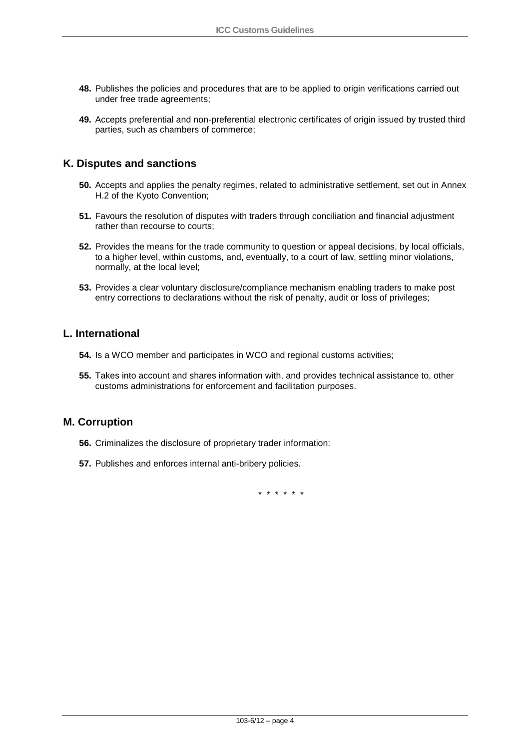- **48.** Publishes the policies and procedures that are to be applied to origin verifications carried out under free trade agreements;
- **49.** Accepts preferential and non-preferential electronic certificates of origin issued by trusted third parties, such as chambers of commerce;

#### **K. Disputes and sanctions**

- **50.** Accepts and applies the penalty regimes, related to administrative settlement, set out in Annex H.2 of the Kyoto Convention;
- **51.** Favours the resolution of disputes with traders through conciliation and financial adjustment rather than recourse to courts;
- **52.** Provides the means for the trade community to question or appeal decisions, by local officials, to a higher level, within customs, and, eventually, to a court of law, settling minor violations, normally, at the local level;
- **53.** Provides a clear voluntary disclosure/compliance mechanism enabling traders to make post entry corrections to declarations without the risk of penalty, audit or loss of privileges;

#### **L. International**

- **54.** Is a WCO member and participates in WCO and regional customs activities;
- **55.** Takes into account and shares information with, and provides technical assistance to, other customs administrations for enforcement and facilitation purposes.

#### **M. Corruption**

- **56.** Criminalizes the disclosure of proprietary trader information:
- **57.** Publishes and enforces internal anti-bribery policies.

\* \* \* \* \* \*